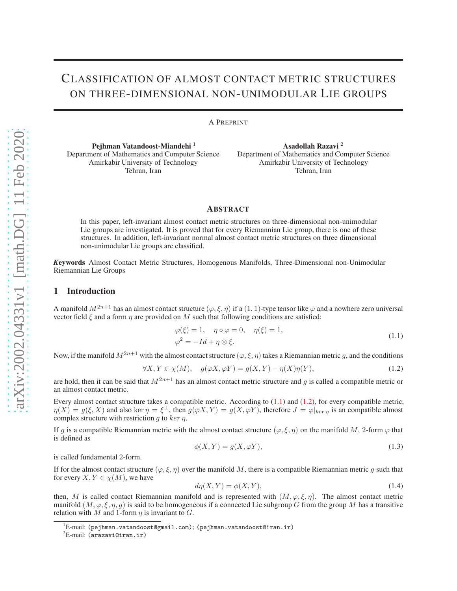# CLASSIFICATION OF ALMOST CONTACT METRIC STRUCTURES ON THREE-DIMENSIONAL NON-UNIMODULAR LIE GROUPS

A PREPRINT

Pejhman Vatandoost-Miandehi<sup>1</sup> Department of Mathematics and Computer Science Amirkabir University of Technology Tehran, Iran

Asadollah Razavi <sup>2</sup> Department of Mathematics and Computer Science Amirkabir University of Technology Tehran, Iran

## **ABSTRACT**

In this paper, left-invariant almost contact metric structures on three-dimensional non-unimodular Lie groups are investigated. It is proved that for every Riemannian Lie group, there is one of these structures. In addition, left-invariant normal almost contact metric structures on three dimensional non-unimodular Lie groups are classified.

*K*eywords Almost Contact Metric Structures, Homogenous Manifolds, Three-Dimensional non-Unimodular Riemannian Lie Groups

### 1 Introduction

A manifold  $M^{2n+1}$  has an almost contact structure  $(\varphi, \xi, \eta)$  if a  $(1, 1)$ -type tensor like  $\varphi$  and a nowhere zero universal vector field  $\xi$  and a form  $\eta$  are provided on M such that following conditions are satisfied:

<span id="page-0-0"></span>
$$
\varphi(\xi) = 1, \quad \eta \circ \varphi = 0, \quad \eta(\xi) = 1,
$$
  

$$
\varphi^2 = -Id + \eta \otimes \xi.
$$
 (1.1)

Now, if the manifold  $M^{2n+1}$  with the almost contact structure  $(\varphi, \xi, \eta)$  takes a Riemannian metric g, and the conditions

<span id="page-0-1"></span>
$$
\forall X, Y \in \chi(M), \quad g(\varphi X, \varphi Y) = g(X, Y) - \eta(X)\eta(Y), \tag{1.2}
$$

are hold, then it can be said that  $M^{2n+1}$  has an almost contact metric structure and g is called a compatible metric or an almost contact metric.

Every almost contact structure takes a compatible metric. According to  $(1.1)$  and  $(1.2)$ , for every compatible metric,  $\eta(X) = g(\xi, X)$  and also ker  $\eta = \xi^{\perp}$ , then  $g(\varphi X, Y) = g(X, \varphi Y)$ , therefore  $J = \varphi|_{\ker \eta}$  is an compatible almost complex structure with restriction g to ker  $\eta$ .

If g is a compatible Riemannian metric with the almost contact structure  $(\varphi, \xi, \eta)$  on the manifold M, 2-form  $\varphi$  that is defined as

$$
\phi(X, Y) = g(X, \varphi Y),\tag{1.3}
$$

is called fundamental 2-form.

If for the almost contact structure ( $\varphi, \xi, \eta$ ) over the manifold M, there is a compatible Riemannian metric q such that for every  $X, Y \in \chi(M)$ , we have

<span id="page-0-2"></span>
$$
d\eta(X,Y) = \phi(X,Y),\tag{1.4}
$$

then, M is called contact Riemannian manifold and is represented with  $(M, \varphi, \xi, \eta)$ . The almost contact metric manifold  $(M, \varphi, \xi, \eta, g)$  is said to be homogeneous if a connected Lie subgroup G from the group M has a transitive relation with M and 1-form  $\eta$  is invariant to G.

 $^1\rm{E}\textrm{-}$ mail: (pejhman.vatandoost@gmail.com); (pejhman.vatandoost@iran.ir)

 ${}^{2}E$ -mail: (arazavi@iran.ir)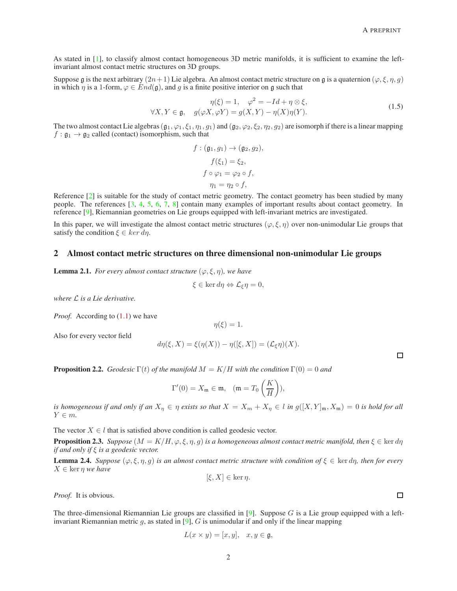As stated in [\[1\]](#page-5-0), to classify almost contact homogeneous 3D metric manifolds, it is sufficient to examine the leftinvariant almost contact metric structures on 3D groups.

Suppose g is the next arbitrary  $(2n+1)$  Lie algebra. An almost contact metric structure on g is a quaternion  $(\varphi, \xi, \eta, q)$ in which  $\eta$  is a 1-form,  $\varphi \in \mathring{End}(\mathfrak{g})$ , and g is a finite positive interior on g such that

<span id="page-1-2"></span>
$$
\eta(\xi) = 1, \quad \varphi^2 = -Id + \eta \otimes \xi,
$$
  

$$
\forall X, Y \in \mathfrak{g}, \quad g(\varphi X, \varphi Y) = g(X, Y) - \eta(X)\eta(Y).
$$
 (1.5)

The two almost contact Lie algebras ( $\mathfrak{g}_1, \varphi_1, \xi_1, \eta_1, g_1$ ) and ( $\mathfrak{g}_2, \varphi_2, \xi_2, \eta_2, g_2$ ) are isomorph if there is a linear mapping  $f : \mathfrak{g}_1 \to \mathfrak{g}_2$  called (contact) isomorphism, such that

$$
f: (\mathfrak{g}_1, g_1) \to (\mathfrak{g}_2, g_2),
$$

$$
f(\xi_1) = \xi_2,
$$

$$
f \circ \varphi_1 = \varphi_2 \circ f,
$$

$$
\eta_1 = \eta_2 \circ f,
$$

Reference [\[2\]](#page-5-1) is suitable for the study of contact metric geometry. The contact geometry has been studied by many people. The references [\[3,](#page-5-2) [4,](#page-5-3) [5,](#page-5-4) [6,](#page-5-5) [7,](#page-5-6) [8\]](#page-5-7) contain many examples of important results about contact geometry. In reference [\[9\]](#page-5-8), Riemannian geometries on Lie groups equipped with left-invariant metrics are investigated.

In this paper, we will investigate the almost contact metric structures ( $\varphi, \xi, \eta$ ) over non-unimodular Lie groups that satisfy the condition  $\xi \in \text{ker } d\eta$ .

#### 2 Almost contact metric structures on three dimensional non-unimodular Lie groups

**Lemma 2.1.** *For every almost contact structure*  $(\varphi, \xi, \eta)$ *, we have* 

$$
\xi \in \ker d\eta \Leftrightarrow \mathcal{L}_{\xi}\eta = 0,
$$

*where* L *is a Lie derivative.*

*Proof.* According to  $(1.1)$  we have

Also for every vector field

$$
d\eta(\xi, X) = \xi(\eta(X)) - \eta([\xi, X]) = (\mathcal{L}_{\xi}\eta)(X).
$$

 $\eta(\xi) = 1.$ 

**Proposition 2.2.** *Geodesic*  $\Gamma(t)$  *of the manifold*  $M = K/H$  *with the condition*  $\Gamma(0) = 0$  *and* 

$$
\Gamma'(0) = X_{\mathfrak{m}} \in \mathfrak{m}, \quad (\mathfrak{m} = T_0\left(\frac{K}{H}\right)),
$$

*is homogeneous if and only if an*  $X_n \in \eta$  *exists so that*  $X = X_m + X_n \in l$  *in*  $g([X, Y]_m, X_m) = 0$  *is hold for all*  $Y \in m$ .

The vector  $X \in \mathcal{U}$  that is satisfied above condition is called geodesic vector.

<span id="page-1-0"></span>**Proposition 2.3.** *Suppose*  $(M = K/H, \varphi, \xi, \eta, q)$  *is a homogeneous almost contact metric manifold, then*  $\xi \in \text{ker } d\eta$ *if and only if* ξ *is a geodesic vector.*

<span id="page-1-1"></span>**Lemma 2.4.** *Suppose* ( $\varphi, \xi, \eta, q$ ) *is an almost contact metric structure with condition of*  $\xi \in \text{ker } d\eta$ , *then for every*  $X \in \ker \eta$  *we have* 

$$
[\xi, X] \in \ker \eta.
$$

*Proof.* It is obvious.

The three-dimensional Riemannian Lie groups are classified in [\[9\]](#page-5-8). Suppose  $G$  is a Lie group equipped with a left-invariant Riemannian metric g, as stated in [\[9\]](#page-5-8), G is unimodular if and only if the linear mapping

$$
L(x \times y) = [x, y], \quad x, y \in \mathfrak{g},
$$

 $\Box$ 

 $\Box$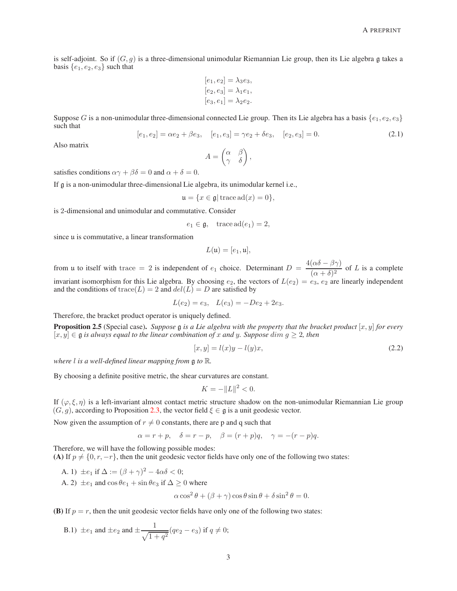is self-adjoint. So if  $(G, q)$  is a three-dimensional unimodular Riemannian Lie group, then its Lie algebra q takes a basis  $\{e_1, e_2, e_3\}$  such that

$$
[e_1, e_2] = \lambda_3 e_3,
$$
  
\n
$$
[e_2, e_3] = \lambda_1 e_1,
$$
  
\n
$$
[e_3, e_1] = \lambda_2 e_2.
$$

Suppose G is a non-unimodular three-dimensional connected Lie group. Then its Lie algebra has a basis  $\{e_1, e_2, e_3\}$ such that

<span id="page-2-1"></span>
$$
[e_1, e_2] = \alpha e_2 + \beta e_3, \quad [e_1, e_3] = \gamma e_2 + \delta e_3, \quad [e_2, e_3] = 0.
$$
 (2.1)

Also matrix

$$
A = \begin{pmatrix} \alpha & \beta \\ \gamma & \delta \end{pmatrix},
$$

satisfies conditions  $\alpha \gamma + \beta \delta = 0$  and  $\alpha + \delta = 0$ .

If g is a non-unimodular three-dimensional Lie algebra, its unimodular kernel i.e.,

$$
\mathfrak{u} = \{x \in \mathfrak{g} | \operatorname{trace} \operatorname{ad}(x) = 0\},\
$$

is 2-dimensional and unimodular and commutative. Consider

$$
e_1 \in \mathfrak{g}, \quad \text{trace}\,\text{ad}(e_1) = 2,
$$

since u is commutative, a linear transformation

$$
L(\mathfrak{u})=[e_1,\mathfrak{u}],
$$

from u to itself with trace = 2 is independent of  $e_1$  choice. Determinant  $D = \frac{4(\alpha \delta - \beta \gamma)}{(\alpha + \beta)^2}$  $\frac{(\alpha \sigma)^{2}}{(\alpha + \delta)^{2}}$  of L is a complete invariant isomorphism for this Lie algebra. By choosing  $e_2$ , the vectors of  $L(e_2) = e_3, e_2$  are linearly independent and the conditions of trace( $L$ ) = 2 and  $del(L) = D$  are satisfied by

$$
L(e_2) = e_3, \quad L(e_3) = -De_2 + 2e_3.
$$

Therefore, the bracket product operator is uniquely defined.

**Proposition 2.5** (Special case). Suppose g is a Lie algebra with the property that the bracket product  $[x, y]$  for every  $[x, y] \in \mathfrak{g}$  *is always equal to the linear combination of* x *and* y. Suppose dim  $g \geq 2$ , *then* 

<span id="page-2-0"></span>
$$
[x, y] = l(x)y - l(y)x,
$$
\n(2.2)

*where* l *is a well-defined linear mapping from* g *to* R*.*

By choosing a definite positive metric, the shear curvatures are constant.

$$
K = -\|L\|^2 < 0.
$$

If  $(\varphi, \xi, \eta)$  is a left-invariant almost contact metric structure shadow on the non-unimodular Riemannian Lie group  $(G, g)$ , according to Proposition [2.3,](#page-1-0) the vector field  $\xi \in \mathfrak{g}$  is a unit geodesic vector.

Now given the assumption of  $r \neq 0$  constants, there are p and q such that

$$
\alpha = r + p, \quad \delta = r - p, \quad \beta = (r + p)q, \quad \gamma = -(r - p)q.
$$

Therefore, we will have the following possible modes: (A) If  $p \neq \{0, r, -r\}$ , then the unit geodesic vector fields have only one of the following two states:

A. 1)  $\pm e_1$  if  $\Delta := (\beta + \gamma)^2 - 4\alpha\delta < 0;$ 

A. 2)  $\pm e_1$  and cos  $\theta e_1 + \sin \theta e_3$  if  $\Delta \geq 0$  where

$$
\alpha \cos^2 \theta + (\beta + \gamma) \cos \theta \sin \theta + \delta \sin^2 \theta = 0.
$$

(B) If  $p = r$ , then the unit geodesic vector fields have only one of the following two states:

B.1) 
$$
\pm e_1
$$
 and  $\pm e_2$  and  $\pm \frac{1}{\sqrt{1+q^2}}(qe_2 - e_3)$  if  $q \neq 0$ ;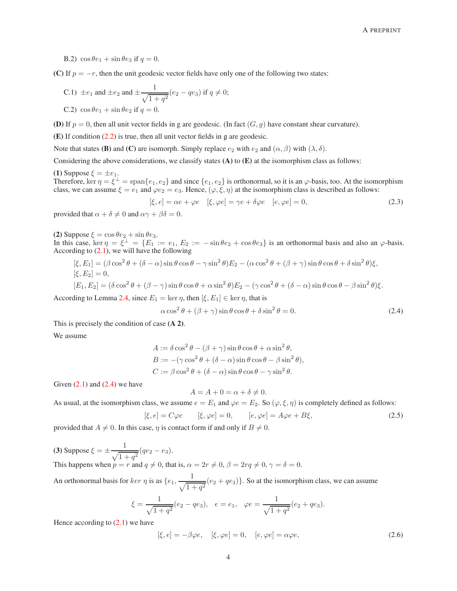B.2)  $\cos \theta e_1 + \sin \theta e_3$  if  $q = 0$ .

(C) If  $p = -r$ , then the unit geodesic vector fields have only one of the following two states:

C.1) 
$$
\pm e_1
$$
 and  $\pm e_2$  and  $\pm \frac{1}{\sqrt{1+q^2}}(e_2 - qe_3)$  if  $q \neq 0$ ;  
C.2)  $\cos \theta e_1 + \sin \theta e_2$  if  $q = 0$ .

**(D)** If  $p = 0$ , then all unit vector fields in g are geodesic. (In fact  $(G, q)$  have constant shear curvature).

(E) If condition  $(2.2)$  is true, then all unit vector fields in g are geodesic.

Note that states (B) and (C) are isomorph. Simply replace  $e_2$  with  $e_2$  and  $(\alpha, \beta)$  with  $(\lambda, \delta)$ .

Considering the above considerations, we classify states  $(A)$  to  $(E)$  at the isomorphism class as follows:

(1) Suppose  $\xi = \pm e_1$ .

Therefore,  $\ker \eta = \xi^{\perp} = \text{span}\{e_1, e_2\}$  and since  $\{e_1, e_2\}$  is orthonormal, so it is an  $\varphi$ -basis, too. At the isomorphism class, we can assume  $\xi = e_1$  and  $\varphi e_2 = e_3$ . Hence,  $(\varphi, \xi, \eta)$  at the isomorphism class is described as follows:

<span id="page-3-2"></span>
$$
[\xi, e] = \alpha e + \varphi e \quad [\xi, \varphi e] = \gamma e + \delta \varphi e \quad [e, \varphi e] = 0,
$$
\n
$$
\alpha + \beta \delta = 0 \tag{2.3}
$$

provided that  $\alpha + \delta \neq 0$  and  $\alpha \gamma + \beta \delta = 0$ .

(2) Suppose  $\xi = \cos \theta e_2 + \sin \theta e_3$ .

In this case, ker  $\eta = \xi^{\perp} = \{E_1 := e_1, E_2 := -\sin \theta e_2 + \cos \theta e_3\}$  is an orthonormal basis and also an  $\varphi$ -basis. According to  $(2.1)$ , we will have the following

$$
[\xi, E_1] = (\beta \cos^2 \theta + (\delta - \alpha) \sin \theta \cos \theta - \gamma \sin^2 \theta) E_2 - (\alpha \cos^2 \theta + (\beta + \gamma) \sin \theta \cos \theta + \delta \sin^2 \theta) \xi,
$$
  

$$
[\xi, E_2] = 0,
$$
  

$$
[E_1, E_2] = (\delta \cos^2 \theta + (\beta - \gamma) \sin \theta \cos \theta + \alpha \sin^2 \theta) E_2 - (\gamma \cos^2 \theta + (\delta - \alpha) \sin \theta \cos \theta - \beta \sin^2 \theta) \xi.
$$

According to Lemma [2.4,](#page-1-1) since  $E_1 = \ker \eta$ , then  $[\xi, E_1] \in \ker \eta$ , that is

<span id="page-3-0"></span>
$$
\alpha \cos^2 \theta + (\beta + \gamma) \sin \theta \cos \theta + \delta \sin^2 \theta = 0. \tag{2.4}
$$

This is precisely the condition of case (A 2).

We assume

$$
A := \delta \cos^2 \theta - (\beta + \gamma) \sin \theta \cos \theta + \alpha \sin^2 \theta,
$$
  
\n
$$
B := -(\gamma \cos^2 \theta + (\delta - \alpha) \sin \theta \cos \theta - \beta \sin^2 \theta),
$$
  
\n
$$
C := \beta \cos^2 \theta + (\delta - \alpha) \sin \theta \cos \theta - \gamma \sin^2 \theta.
$$

Given  $(2.1)$  and  $(2.4)$  we have

$$
A = A + 0 = \alpha + \delta \neq 0.
$$

As usual, at the isomorphism class, we assume  $e = E_1$  and  $\varphi e = E_2$ . So  $(\varphi, \xi, \eta)$  is completely defined as follows:

<span id="page-3-1"></span>
$$
[\xi, e] = C\varphi e \qquad [\xi, \varphi e] = 0, \qquad [e, \varphi e] = A\varphi e + B\xi,
$$
\n(2.5)

provided that  $A \neq 0$ . In this case,  $\eta$  is contact form if and only if  $B \neq 0$ .

(3) Suppose  $\xi = \pm \frac{1}{\sqrt{2\pi}}$  $\frac{1}{\sqrt{1+q^2}}(qe_2-e_3).$ This happens when  $p = r$  and  $q \neq 0$ , that is,  $\alpha = 2r \neq 0$ ,  $\beta = 2rq \neq 0$ ,  $\gamma = \delta = 0$ . An orthonormal basis for  $ker \eta$  is as  $\{e_1, \frac{1}{\sqrt{1-\frac{1}{\sqrt{1-\frac{1}{\sqrt{1-\frac{1}{\sqrt{1-\frac{1}{\sqrt{1-\frac{1}{\sqrt{1-\frac{1}{\sqrt{1-\frac{1}{\sqrt{1-\frac{1}{\sqrt{1-\frac{1}{\sqrt{1-\frac{1}{\sqrt{1-\frac{1}{\sqrt{1-\frac{1}{\sqrt{1-\frac{1}{\sqrt{1-\frac{1}{\sqrt{1-\frac{1}{\sqrt{1-\frac{1}{\sqrt{1-\frac{1}{\sqrt{1-\frac{1}{\sqrt{1-\frac{1}{\$  $\frac{1}{\sqrt{1+q^2}}(e_2+qe_3)$ . So at the isomorphism class, we can assume

$$
\xi = \frac{1}{\sqrt{1+q^2}}(e_2 - qe_3), \quad e = e_1, \quad \varphi e = \frac{1}{\sqrt{1+q^2}}(e_2 + qe_3).
$$

Hence according to  $(2.1)$  we have

$$
[\xi, e] = -\beta \varphi e, \quad [\xi, \varphi e] = 0, \quad [e, \varphi e] = \alpha \varphi e,
$$
\n(2.6)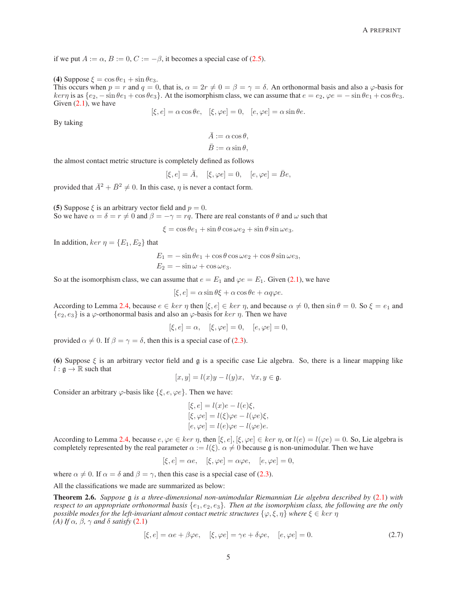if we put  $A := \alpha$ ,  $B := 0$ ,  $C := -\beta$ , it becomes a special case of [\(2.5\)](#page-3-1).

#### (4) Suppose  $\xi = \cos \theta e_1 + \sin \theta e_3$ .

This occurs when  $p = r$  and  $q = 0$ , that is,  $\alpha = 2r \neq 0 = \beta = \gamma = \delta$ . An orthonormal basis and also a  $\varphi$ -basis for  $\ker \eta$  is as  $\{e_2, -\sin \theta e_1 + \cos \theta e_3\}$ . At the isomorphism class, we can assume that  $e = e_2$ ,  $\varphi e = -\sin \theta e_1 + \cos \theta e_3$ . Given  $(2.1)$ , we have

$$
[\xi, e] = \alpha \cos \theta e, \quad [\xi, \varphi e] = 0, \quad [e, \varphi e] = \alpha \sin \theta e.
$$

By taking

$$
\bar{A} := \alpha \cos \theta, \bar{B} := \alpha \sin \theta,
$$

the almost contact metric structure is completely defined as follows

 $[\xi, e] = \overline{A}, \quad [\xi, \varphi e] = 0, \quad [e, \varphi e] = \overline{B}e,$ 

provided that  $\overline{A}^2 + \overline{B}^2 \neq 0$ . In this case,  $\eta$  is never a contact form.

(5) Suppose  $\xi$  is an arbitrary vector field and  $p = 0$ . So we have  $\alpha = \delta = r \neq 0$  and  $\beta = -\gamma = rq$ . There are real constants of  $\theta$  and  $\omega$  such that

 $\xi = \cos \theta e_1 + \sin \theta \cos \omega e_2 + \sin \theta \sin \omega e_3.$ 

In addition,  $ker \eta = \{E_1, E_2\}$  that

$$
E_1 = -\sin\theta e_1 + \cos\theta\cos\omega e_2 + \cos\theta\sin\omega e_3,
$$
  
\n
$$
E_2 = -\sin\omega + \cos\omega e_3.
$$

So at the isomorphism class, we can assume that  $e = E_1$  and  $\varphi e = E_1$ . Given [\(2.1\)](#page-2-1), we have

$$
[\xi, e] = \alpha \sin \theta \xi + \alpha \cos \theta e + \alpha q \varphi e.
$$

According to Lemma [2.4,](#page-1-1) because  $e \in \ker \eta$  then  $[\xi, e] \in \ker \eta$ , and because  $\alpha \neq 0$ , then  $\sin \theta = 0$ . So  $\xi = e_1$  and  ${e_2, e_3}$  is a  $\varphi$ -orthonormal basis and also an  $\varphi$ -basis for  $ker \eta$ . Then we have

$$
[\xi, e] = \alpha, \quad [\xi, \varphi e] = 0, \quad [e, \varphi e] = 0,
$$

provided  $\alpha \neq 0$ . If  $\beta = \gamma = \delta$ , then this is a special case of [\(2.3\)](#page-3-2).

(6) Suppose  $\xi$  is an arbitrary vector field and g is a specific case Lie algebra. So, there is a linear mapping like  $l : \mathfrak{g} \to \mathbb{R}$  such that

$$
[x, y] = l(x)y - l(y)x, \quad \forall x, y \in \mathfrak{g}.
$$

Consider an arbitrary  $\varphi$ -basis like { $\xi, e, \varphi e$ }. Then we have:

$$
[\xi, e] = l(x)e - l(e)\xi,
$$
  
\n
$$
[\xi, \varphi e] = l(\xi)\varphi e - l(\varphi e)\xi,
$$
  
\n
$$
[e, \varphi e] = l(e)\varphi e - l(\varphi e)e.
$$

According to Lemma [2.4,](#page-1-1) because  $e, \varphi e \in \ker \eta$ , then  $[\xi, e], [\xi, \varphi e] \in \ker \eta$ , or  $l(e) = l(\varphi e) = 0$ . So, Lie algebra is completely represented by the real parameter  $\alpha := l(\xi)$ .  $\alpha \neq 0$  because g is non-unimodular. Then we have

 $[\xi, e] = \alpha e, \quad [\xi, \varphi e] = \alpha \varphi e, \quad [e, \varphi e] = 0,$ 

where  $\alpha \neq 0$ . If  $\alpha = \delta$  and  $\beta = \gamma$ , then this case is a special case of [\(2.3\)](#page-3-2).

All the classifications we made are summarized as below:

<span id="page-4-0"></span>Theorem 2.6. *Suppose* g *is a three-dimensional non-unimodular Riemannian Lie algebra described by* [\(2.1\)](#page-2-1) *with respect to an appropriate orthonormal basis*  $\{e_1, e_2, e_3\}$ . Then at the isomorphism class, the following are the only *possible modes for the left-invariant almost contact metric structures*  $\{\varphi, \xi, \eta\}$  *where*  $\xi \in \ker \eta$ *(A)* If  $\alpha$ *,*  $\beta$ *,*  $\gamma$  *and*  $\delta$  *satisfy* [\(2.1\)](#page-2-1)

$$
[\xi, e] = \alpha e + \beta \varphi e, \quad [\xi, \varphi e] = \gamma e + \delta \varphi e, \quad [e, \varphi e] = 0. \tag{2.7}
$$